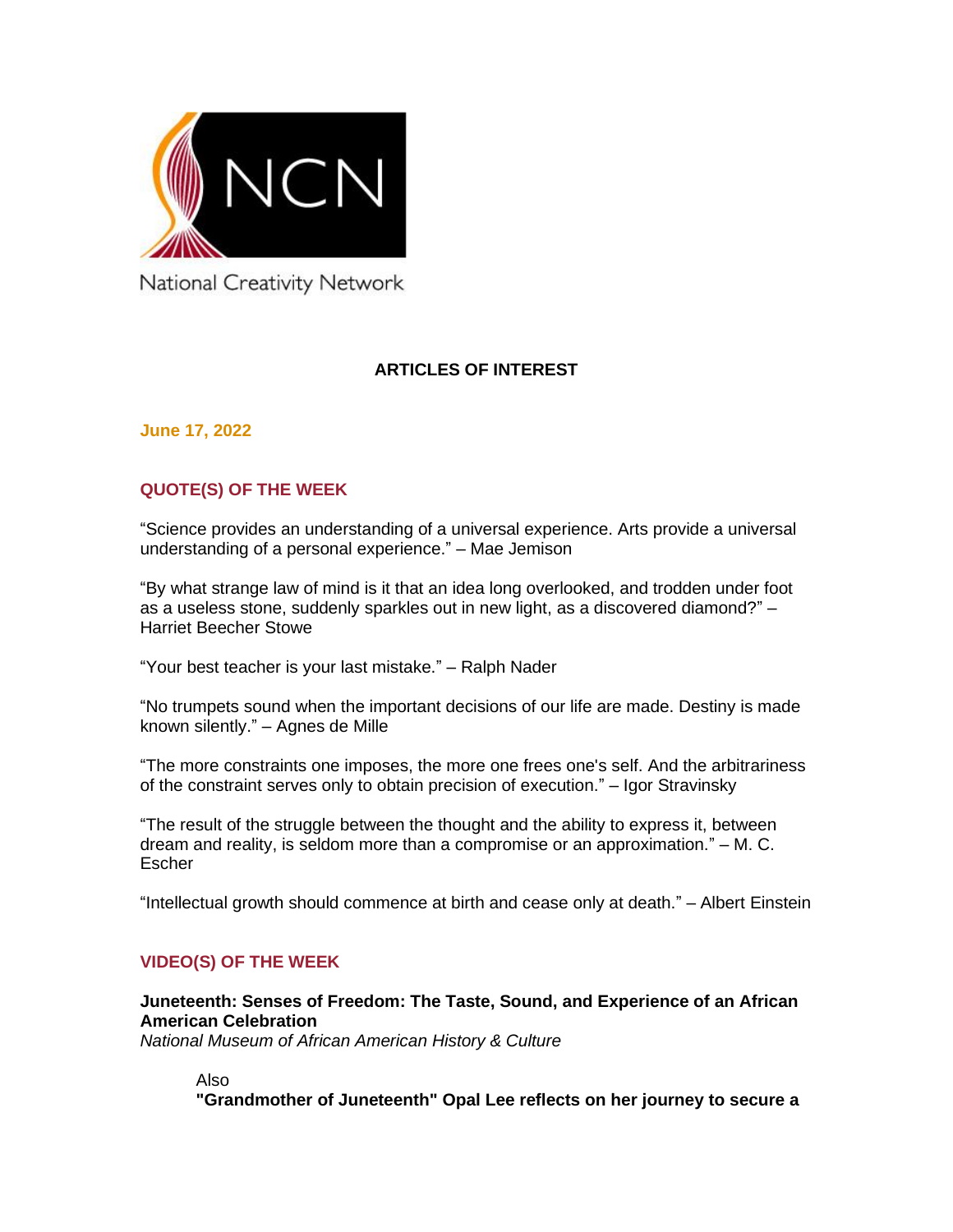

National Creativity Network

## **ARTICLES OF INTEREST**

**June 17, 2022**

## **QUOTE(S) OF THE WEEK**

"Science provides an understanding of a universal experience. Arts provide a universal understanding of a personal experience." – Mae Jemison

"By what strange law of mind is it that an idea long overlooked, and trodden under foot as a useless stone, suddenly sparkles out in new light, as a discovered diamond?" – Harriet Beecher Stowe

"Your best teacher is your last mistake." – Ralph Nader

"No trumpets sound when the important decisions of our life are made. Destiny is made known silently." – Agnes de Mille

"The more constraints one imposes, the more one frees one's self. And the arbitrariness of the constraint serves only to obtain precision of execution." – Igor Stravinsky

"The result of the struggle between the thought and the ability to express it, between dream and reality, is seldom more than a compromise or an approximation." – M. C. Escher

"Intellectual growth should commence at birth and cease only at death." – Albert Einstein

## **VIDEO(S) OF THE WEEK**

**[Juneteenth: Senses of Freedom: The Taste, Sound, and Experience of an African](https://nmaahc.si.edu/juneteenth)  [American Celebration](https://nmaahc.si.edu/juneteenth)** *National Museum of African American History & Culture*

Also

**["Grandmother of Juneteenth" Opal Lee reflects on her journey to secure a](https://www.cbsnews.com/news/juneteenth-opal-lee-grandmother-fort-worth-washington-dc/)**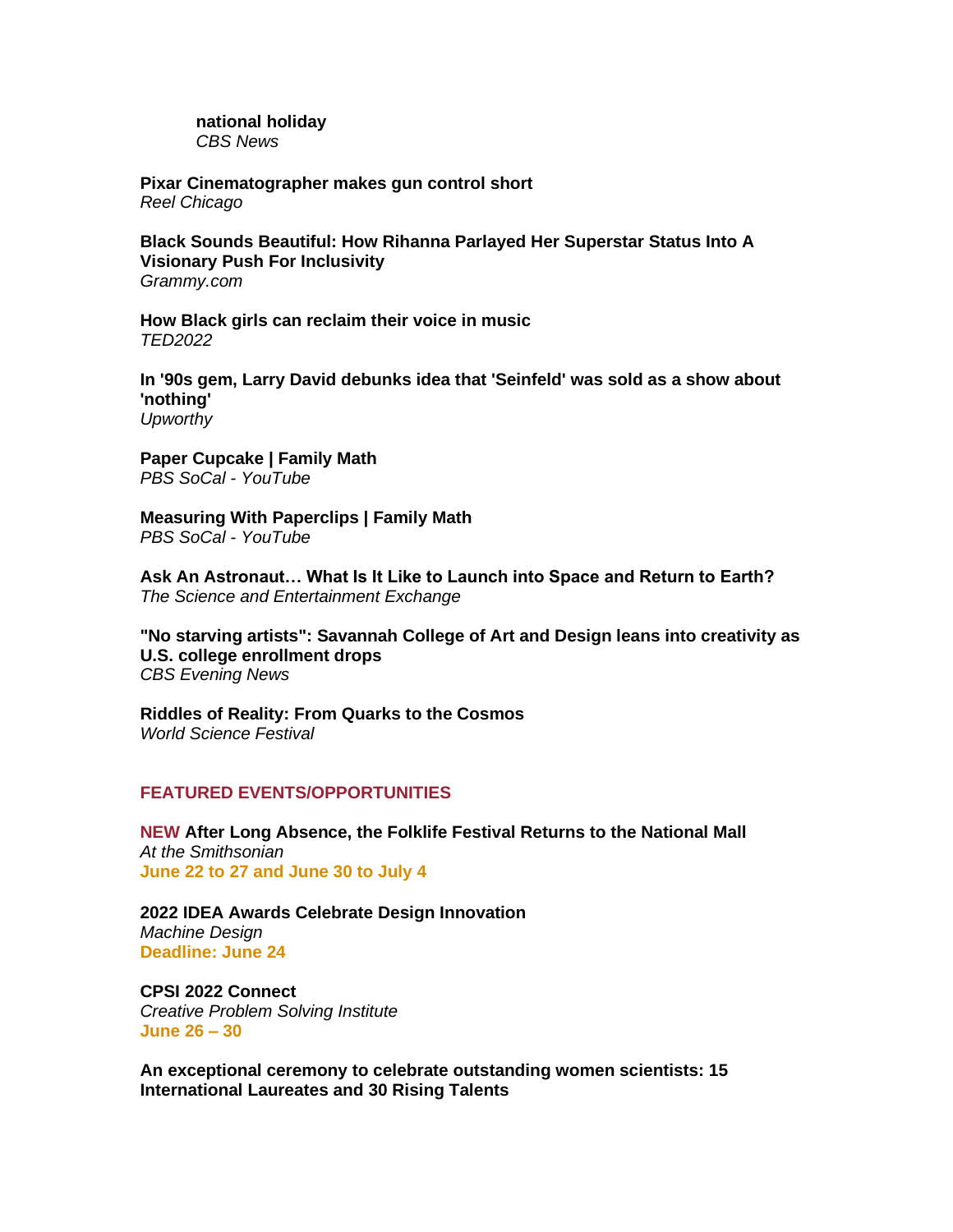**[national holiday](https://www.cbsnews.com/news/juneteenth-opal-lee-grandmother-fort-worth-washington-dc/)** *CBS News*

**[Pixar Cinematographer makes gun control short](https://reel360.com/article/pixar-cinematographer-makes-gun-control-short/)** *Reel Chicago*

**[Black Sounds Beautiful: How Rihanna Parlayed Her Superstar Status Into A](https://www.grammy.com/news/rihanna-music-business-impact-nonprofit-grammys-fenty-black-sounds-beautiful-video)  [Visionary Push For Inclusivity](https://www.grammy.com/news/rihanna-music-business-impact-nonprofit-grammys-fenty-black-sounds-beautiful-video)** *Grammy.com*

**[How Black girls can reclaim their voice in music](https://www.ted.com/talks/kyra_gaunt_how_black_girls_can_reclaim_their_voice_in_music)** *TED2022*

**[In '90s gem, Larry David debunks idea that 'Seinfeld' was sold as a show about](https://www.upworthy.com/larry-david-debunks-that-seinfeld-was-pitched-as-a-show-about-nothing)  ['nothing'](https://www.upworthy.com/larry-david-debunks-that-seinfeld-was-pitched-as-a-show-about-nothing)** *Upworthy*

**[Paper Cupcake | Family Math](https://youtu.be/Zd9apaiIMo8)** *PBS SoCal - YouTube* 

**[Measuring With Paperclips | Family Math](https://youtu.be/jsOlHhdUHQg)** *PBS SoCal - YouTube* 

**[Ask An Astronaut… What Is It Like to Launch into Space and Return to Earth?](http://scienceandentertainmentexchange.org/article/ask-an-astronaut-what-is-it-like-to-launch-into-space-and-return-to-earth/)** *The Science and Entertainment Exchange*

**["No starving artists": Savannah College of Art and Design leans into creativity as](https://www.cbsnews.com/news/savannah-college-of-art-and-design-college-enrollment/)  [U.S. college enrollment drops](https://www.cbsnews.com/news/savannah-college-of-art-and-design-college-enrollment/)** *CBS Evening News*

**[Riddles of Reality: From Quarks to](https://www.worldsciencefestival.com/programs/riddles-of-reality/) the Cosmos** *World Science Festival*

#### **FEATURED EVENTS/OPPORTUNITIES**

**NEW [After Long Absence, the Folklife Festival Returns to the National Mall](https://www.smithsonianmag.com/smithsonian-institution/after-long-absence-the-folklife-festival-returns-to-the-national-mall-180980249/)** *At the Smithsonian*  **June 22 to 27 and June 30 to July 4**

**[2022 IDEA Awards Celebrate Design Innovation](https://www.machinedesign.com/community/article/21241324/2022-idea-awards-celebrate-design-innovation)** *Machine Design* **Deadline: June 24**

**[CPSI 2022 Connect](https://cpsiconference.com/)** *Creative Problem Solving Institute* **June 26 – 30** 

**[An exceptional ceremony to celebrate outstanding women scientists: 15](https://www.unesco.org/en/articles/exceptional-ceremony-celebrate-outstanding-women-scientists-15-international-laureates-and)  [International Laureates and 30 Rising Talents](https://www.unesco.org/en/articles/exceptional-ceremony-celebrate-outstanding-women-scientists-15-international-laureates-and)**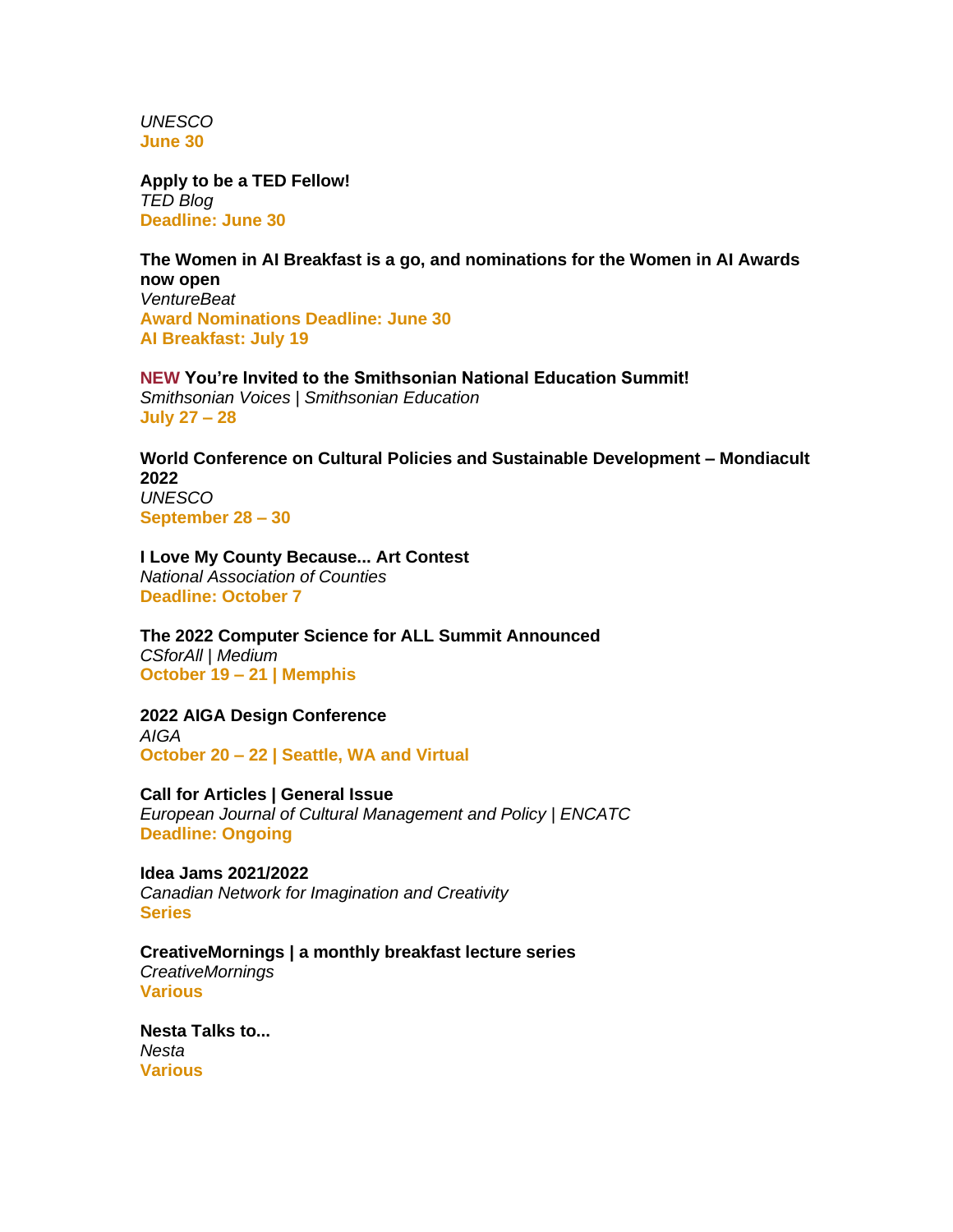*UNESCO* **June 30**

**[Apply to be a TED Fellow!](https://blog.ted.com/apply-to-be-a-ted-fellow-2/)** *TED Blog* **Deadline: June 30**

**[The Women in AI Breakfast is a go, and nominations for the Women in AI Awards](https://venturebeat.com/2022/05/18/the-women-in-ai-breakfast-is-a-go-and-nominations-for-the-women-in-ai-awards-now-open/)  [now open](https://venturebeat.com/2022/05/18/the-women-in-ai-breakfast-is-a-go-and-nominations-for-the-women-in-ai-awards-now-open/)** *VentureBeat* **Award Nominations Deadline: June 30 AI Breakfast: July 19**

**NEW [You're Invited to the Smithsonian National Education Summit!](https://www.smithsonianmag.com/blogs/smithsonian-education/2022/06/14/youre-invited-to-the-smithsonian-national-education-summit/)** *Smithsonian Voices | Smithsonian Education* **July 27 – 28**

**[World Conference on Cultural Policies and Sustainable Development –](https://www.unesco.org/en/mondiacult2022) Mondiacult [2022](https://www.unesco.org/en/mondiacult2022)** *UNESCO* **September 28 – 30** 

**[I Love My County Because... Art Contest](https://www.naco.org/resources/i-love-my-county-because-art-contest)** *National Association of Counties* **Deadline: October 7**

**[The 2022 Computer Science for ALL Summit Announced](https://csforall.medium.com/the-2022-computer-science-for-all-summit-announced-dcb5d9c93667)** *CSforAll | Medium* **October 19 – 21 | Memphis**

**[2022 AIGA Design Conference](https://www.aiga.org/design/design-conferences/aiga-design-conference)** *AIGA* **October 20 – 22 | Seattle, WA and Virtual**

**[Call for Articles | General Issue](https://www.encatc.org/en/upcoming-issues-and-call-for-articles/)** *European Journal of Cultural Management and Policy | ENCATC* **Deadline: Ongoing**

**[Idea Jams 2021/2022](https://canadiannetworkforimaginationandcreativity.com/registerhere)** *Canadian Network for Imagination and Creativity* **Series**

**[CreativeMornings | a monthly breakfast lecture series](http://www.creativemornings.com/)** *CreativeMornings* **Various**

**[Nesta Talks to...](https://www.nesta.org.uk/feature/nesta-talks-to/)** *Nesta* **Various**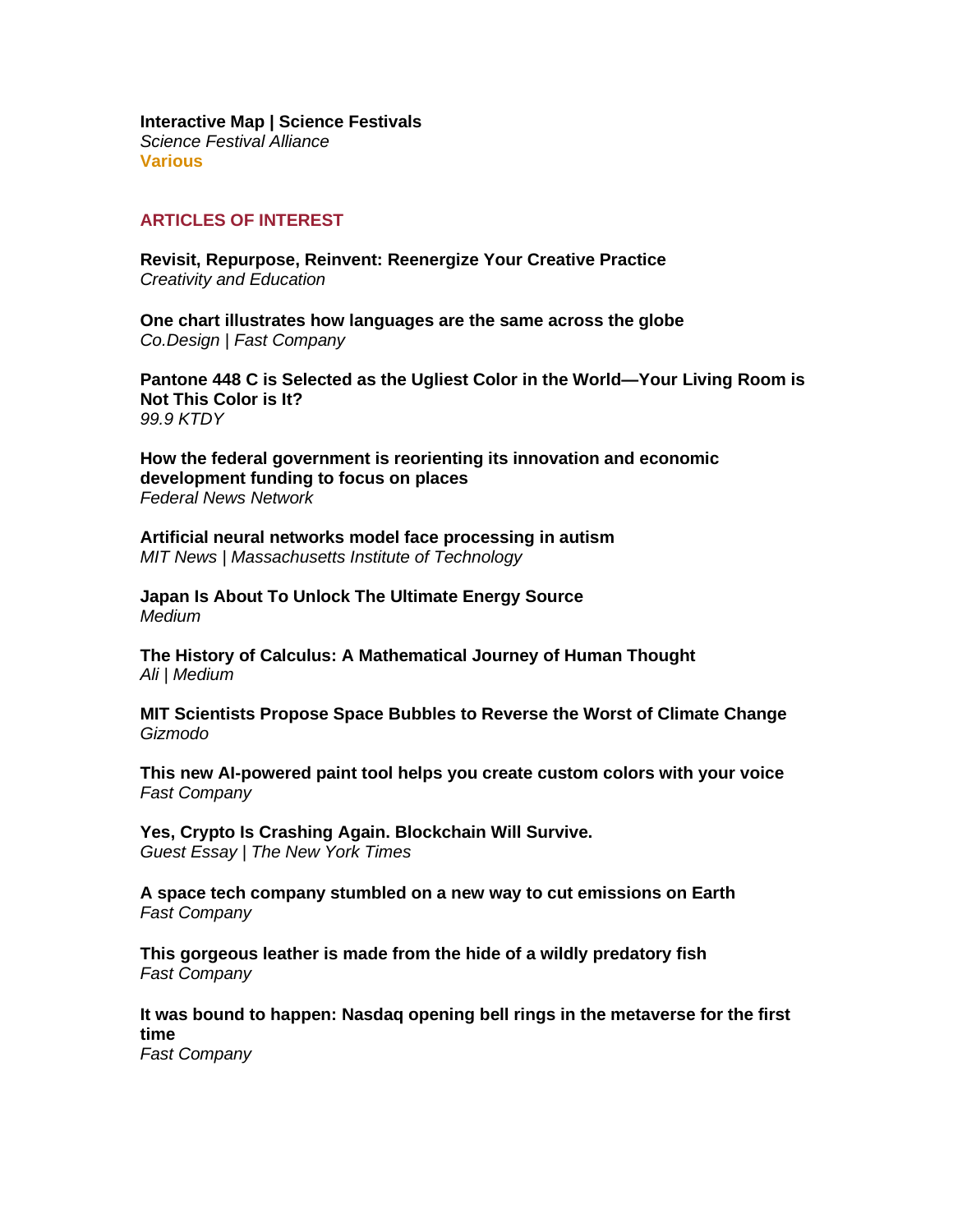**[Interactive Map | Science Festivals](https://sciencefestivals.org/festivals/)** *Science Festival Alliance* **Various**

#### **ARTICLES OF INTEREST**

**[Revisit, Repurpose, Reinvent: Reenergize Your Creative Practice](https://creativityandeducation.com/revisit-repurpose-reinvent-reenergize-your-creative-practice/)** *Creativity and Education*

**[One chart illustrates how languages are the same across the globe](https://www.fastcompany.com/90761437/one-chart-illustrates-how-languages-are-the-same-across-the-globe)** *Co.Design | Fast Company*

**[Pantone 448 C is Selected as the Ugliest Color in the World—Your Living Room is](https://999ktdy.com/pantone-448-c-is-selected-as-the-ugliest-color-in-the-world-your-living-room-is-not-this-color-is-it/)  [Not This Color is It?](https://999ktdy.com/pantone-448-c-is-selected-as-the-ugliest-color-in-the-world-your-living-room-is-not-this-color-is-it/)** *99.9 KTDY*

**[How the federal government is reorienting its innovation and economic](https://federalnewsnetwork.com/technology-main/2022/06/how-the-federal-government-is-reorienting-its-innovation-and-economic-development-funding-to-focus-on-places/)  [development funding to focus on places](https://federalnewsnetwork.com/technology-main/2022/06/how-the-federal-government-is-reorienting-its-innovation-and-economic-development-funding-to-focus-on-places/)** *Federal News Network*

**[Artificial neural networks model face processing in autism](https://news.mit.edu/2022/artificial-neural-networks-model-face-processing-in-autism-0616)** *MIT News | Massachusetts Institute of Technology*

**[Japan Is About To Unlock The Ultimate Energy Source](https://medium.com/predict/japan-is-about-to-unlock-the-ultimate-energy-source-204a01cbb928)** *Medium*

**[The History of Calculus: A Mathematical Journey of Human Thought](https://ali.medium.com/the-history-of-calculus-a-mathematical-journey-of-human-thought-9c94c9c19407)** *Ali | Medium*

**[MIT Scientists Propose Space Bubbles to Reverse the Worst of Climate Change](https://gizmodo.com/mit-space-bubbles-climate-change-1849065455)** *Gizmodo* 

**[This new AI-powered paint tool helps you create custom colors with your voice](https://www.fastcompany.com/90761643/this-new-ai-powered-paint-tool-helps-you-create-custom-colors-with-your-voice)** *Fast Company*

**[Yes, Crypto Is Crashing Again. Blockchain Will Survive.](https://www.nytimes.com/2022/06/16/opinion/crypto-terra-luna-blockchain.html)** *Guest Essay | The New York Times*

**[A space tech company stumbled on a new way to cut emissions on Earth](https://www.fastcompany.com/90761860/a-space-tech-company-stumbled-on-a-new-way-to-cut-emissions-on-earth)** *Fast Company*

**[This gorgeous leather is made from the hide of a wildly predatory fish](https://www.fastcompany.com/90761494/this-gorgeous-leather-is-made-from-the-hide-of-a-wildly-predatory-fish)** *Fast Company*

**[It was bound to happen: Nasdaq opening bell rings in the metaverse for the first](https://www.fastcompany.com/90762046/nasdaq-opening-bell-metaverse-live-stream)  [time](https://www.fastcompany.com/90762046/nasdaq-opening-bell-metaverse-live-stream)**

*Fast Company*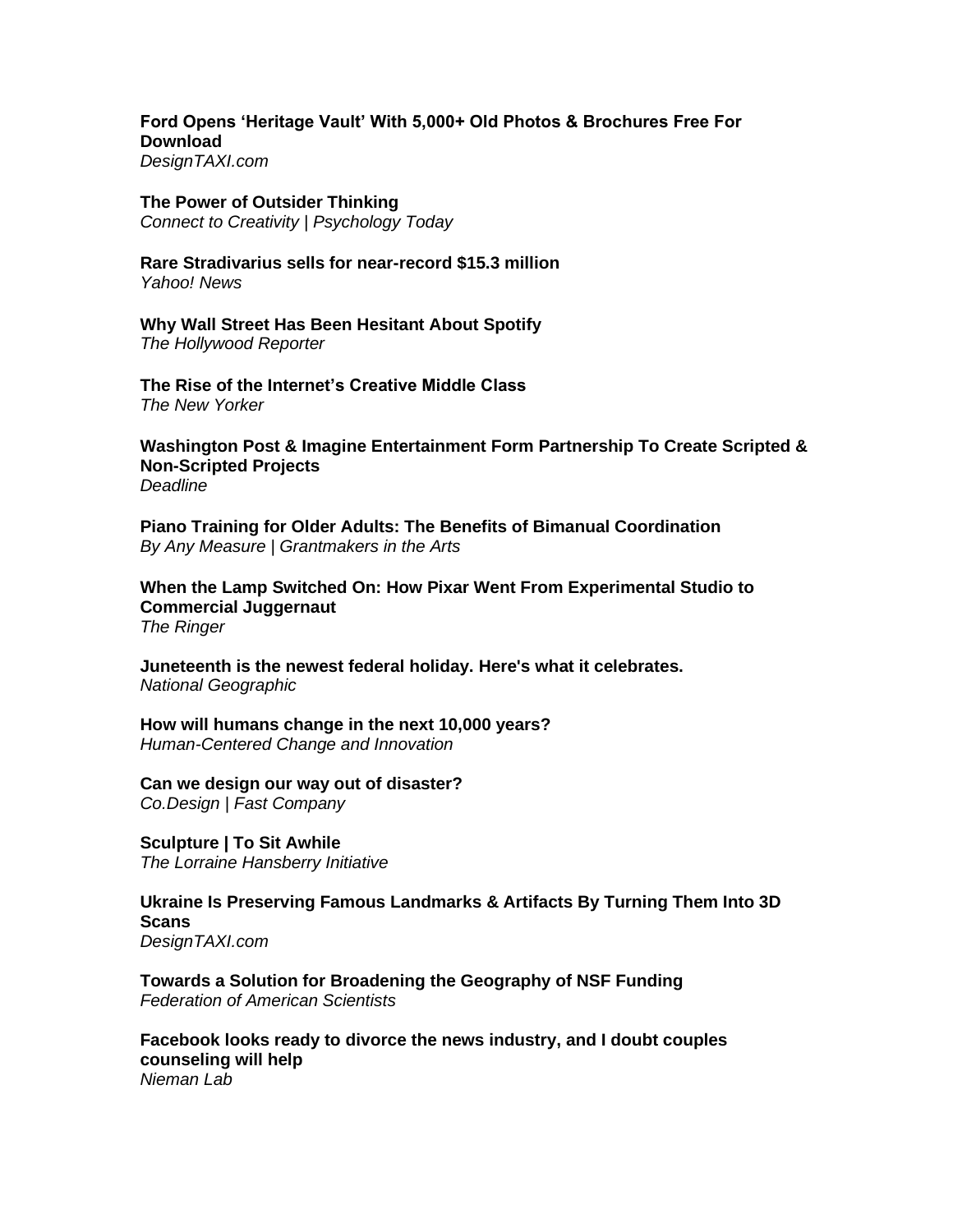**[Ford Opens 'Heritage Vault' With 5,000+ Old Photos & Brochures Free For](https://designtaxi.com/news/419103/Ford-Opens-Heritage-Vault-With-5-000-Old-Photos-Brochures-Free-For-Download/)  [Download](https://designtaxi.com/news/419103/Ford-Opens-Heritage-Vault-With-5-000-Old-Photos-Brochures-Free-For-Download/)** *DesignTAXI.com*

### **[The Power of Outsider Thinking](https://cdn.psychologytoday.com/us/blog/connect-creativity/202206/the-power-outsider-thinking)**

*Connect to Creativity | Psychology Today*

**[Rare Stradivarius sells for near-record \\$15.3 million](https://news.yahoo.com/rare-stradivarius-sells-near-record-005204040.html)** *Yahoo! News*

**[Why Wall Street Has Been Hesitant About Spotify](https://www.hollywoodreporter.com/business/business-news/spotify-stock-wall-street-1235165564/)** *The Hollywood Reporter*

**[The Rise of the Internet's Creative Middle Class](https://www.newyorker.com/culture/culture-desk/the-rise-of-the-internets-creative-middle-class)** *The New Yorker*

**[Washington Post & Imagine Entertainment Form Partnership To Create Scripted &](https://deadline.com/2022/06/washington-post-imagine-entertainment-partnership-scripted-non-scripted-film-tv-projects-caa-1235044913/)  [Non-Scripted Projects](https://deadline.com/2022/06/washington-post-imagine-entertainment-partnership-scripted-non-scripted-film-tv-projects-caa-1235044913/)** *Deadline*

**[Piano Training for Older Adults: The Benefits of Bimanual Coordination](https://www.artsjournal.com/measure/2022/06/16/piano-training-for-older-adults-the-benefits-of-bimanual-coordination/)** *By Any Measure | Grantmakers in the Arts*

**[When the Lamp Switched On: How Pixar Went From Experimental Studio to](https://www.theringer.com/movies/2022/6/13/23165618/pixar-ipo-business-rise-history-george-lucas-steve-jobs)  [Commercial Juggernaut](https://www.theringer.com/movies/2022/6/13/23165618/pixar-ipo-business-rise-history-george-lucas-steve-jobs)** *The Ringer*

**[Juneteenth is the newest federal holiday. Here's what it celebrates.](https://www.nationalgeographic.com/culture/article/juneteenth)** *National Geographic*

**[How will humans change in the next 10,000 years?](https://bradenkelley.com/2022/06/how-will-humans-change-in-the-next-10000-years/)** *Human-Centered Change and Innovation*

**[Can we design our way out of disaster?](https://www.fastcompany.com/90761726/can-we-design-our-way-out-of-disaster)** *Co.Design | Fast Company* 

**[Sculpture | To Sit Awhile](https://lorrainehansberryinitiative.org/sculpture/)** *The Lorraine Hansberry Initiative*

**[Ukraine Is Preserving Famous Landmarks & Artifacts By Turning Them Into 3D](https://designtaxi.com/news/419099/Ukraine-Is-Preserving-Famous-Landmarks-Artifacts-By-Turning-Them-Into-3D-Scans/)  [Scans](https://designtaxi.com/news/419099/Ukraine-Is-Preserving-Famous-Landmarks-Artifacts-By-Turning-Them-Into-3D-Scans/)** *DesignTAXI.com*

**[Towards a Solution for Broadening the Geography of NSF Funding](https://fas.org/blogs/sciencepolicy/towards-a-solution-for-broadening-the-geography-of-nsf-funding/)** *Federation of American Scientists*

**[Facebook looks ready to divorce the news industry, and I doubt couples](https://www.niemanlab.org/2022/06/facebook-looks-ready-to-divorce-the-news-industry-and-i-doubt-couples-counseling-will-help/)  [counseling will help](https://www.niemanlab.org/2022/06/facebook-looks-ready-to-divorce-the-news-industry-and-i-doubt-couples-counseling-will-help/)** *Nieman Lab*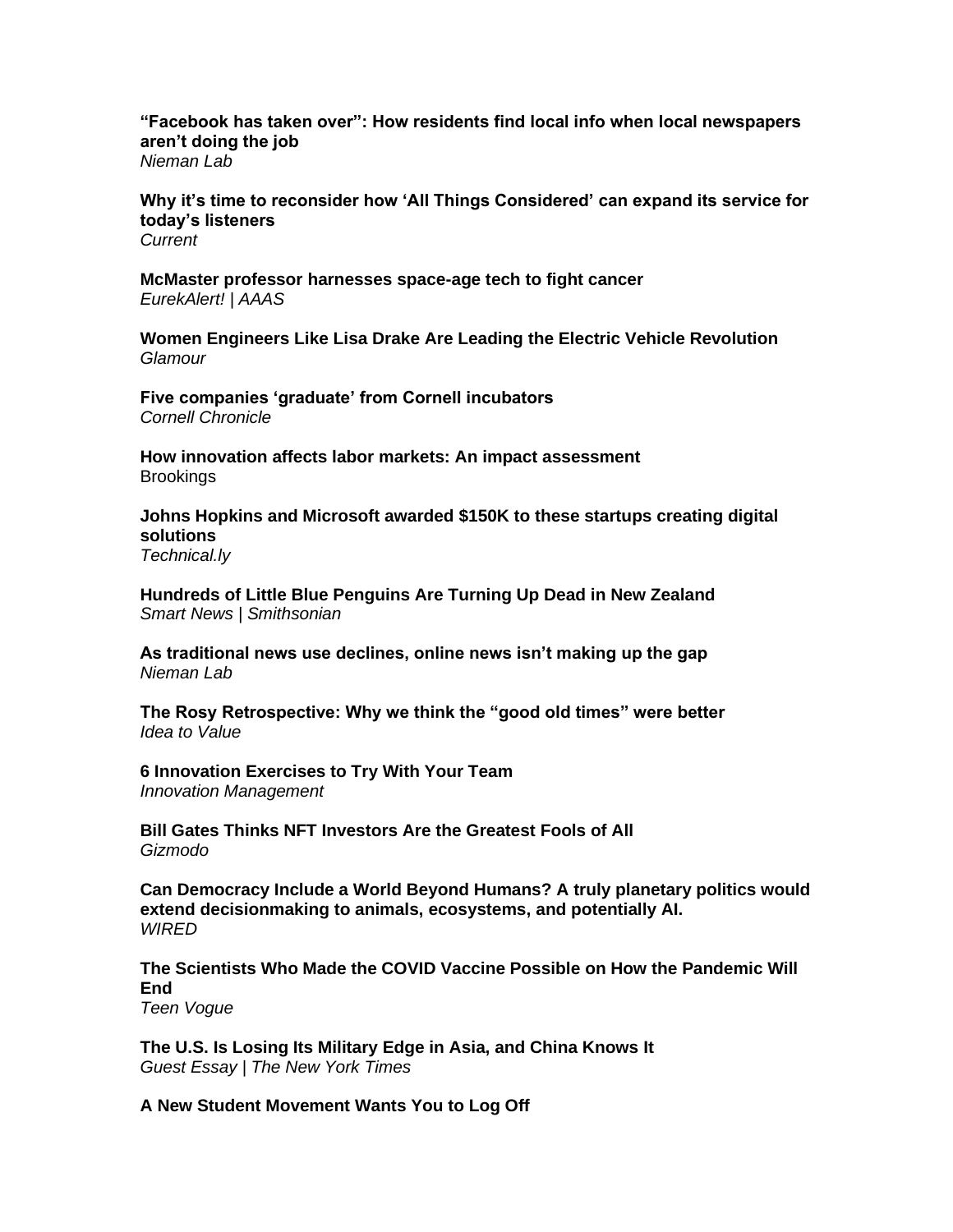**["Facebook has taken over": How residents find local info when local newspapers](https://www.niemanlab.org/2022/06/facebook-has-taken-over-how-residents-find-local-info-when-local-newspapers-arent-doing-the-job/)  [aren't doing the job](https://www.niemanlab.org/2022/06/facebook-has-taken-over-how-residents-find-local-info-when-local-newspapers-arent-doing-the-job/)** *Nieman Lab*

**[Why it's time to reconsider how 'All Things Considered' can expand its service for](https://current.org/2022/06/why-its-time-to-reconsider-how-all-things-considered-can-expand-its-service-for-todays-listeners/)  [today's listeners](https://current.org/2022/06/why-its-time-to-reconsider-how-all-things-considered-can-expand-its-service-for-todays-listeners/)** *Current*

**[McMaster professor harnesses space-age tech to fight cancer](https://www.eurekalert.org/news-releases/956150)** *EurekAlert! | AAAS*

**[Women Engineers Like Lisa Drake Are Leading the Electric Vehicle Revolution](https://www.glamour.com/story/women-engineers-like-lisa-drake-are-leading-the-electric-vehicle-revolution)** *Glamour*

**[Five companies 'graduate' from Cornell incubators](https://news.cornell.edu/stories/2022/06/five-companies-graduate-cornell-incubators)** *Cornell Chronicle*

**How innovation affects labor [markets: An impact assessment](https://www.brookings.edu/research/how-innovation-affects-labor-markets-an-impact-assessment/) Brookings** 

**[Johns Hopkins and Microsoft awarded \\$150K to these startups creating digital](https://technical.ly/startups/johns-hopkins-tech-ventures-microsoft-innovation-acceleration-awards/)  [solutions](https://technical.ly/startups/johns-hopkins-tech-ventures-microsoft-innovation-acceleration-awards/)** *Technical.ly*

**[Hundreds of Little Blue Penguins Are Turning Up Dead in New Zealand](https://www.smithsonianmag.com/smart-news/hundreds-of-little-blue-penguins-are-turning-up-dead-in-new-zealand-180980262/)** *Smart News | Smithsonian*

**[As traditional news use declines, online news isn't making up the gap](https://www.niemanlab.org/2022/06/as-traditional-news-use-declines-online-news-isnt-making-up-the-gap/)** *Nieman Lab*

**[The Rosy Retrospective: Why we think the "good old times" were better](https://www.ideatovalue.com/curi/nickskillicorn/2022/06/the-rosy-retrospective-why-we-think-the-good-old-times-were-better/)** *Idea to Value*

**[6 Innovation Exercises to Try With Your Team](https://innovationmanagement.se/2022/05/25/6-innovation-exercises-to-try-with-your-team/)** *Innovation Management*

**[Bill Gates Thinks NFT Investors Are the Greatest Fools of All](https://gizmodo.com/bill-gates-crypto-nfts-bitcoin-bored-ape-1849064001)** *Gizmodo*

**[Can Democracy Include a World Beyond Humans? A truly planetary politics would](https://www.wired.com/story/can-democracy-include-a-world-beyond-humans/)  [extend decisionmaking to animals, ecosystems, and potentially AI.](https://www.wired.com/story/can-democracy-include-a-world-beyond-humans/)** *WIRED*

**[The Scientists Who Made the COVID Vaccine Possible on How the Pandemic Will](https://www.teenvogue.com/story/scientists-who-made-covid-vaccines-possible-how-pandemic-ends)  [End](https://www.teenvogue.com/story/scientists-who-made-covid-vaccines-possible-how-pandemic-ends)**

*Teen Vogue*

**[The U.S. Is Losing Its Military Edge in Asia, and China Knows It](https://www.nytimes.com/2022/06/15/opinion/international-world/us-military-china-asia.html)** *Guest Essay | The New York Times*

**[A New Student Movement Wants You to Log Off](https://www.nytimes.com/2022/06/14/style/log-off-movement-emma-lembke.html)**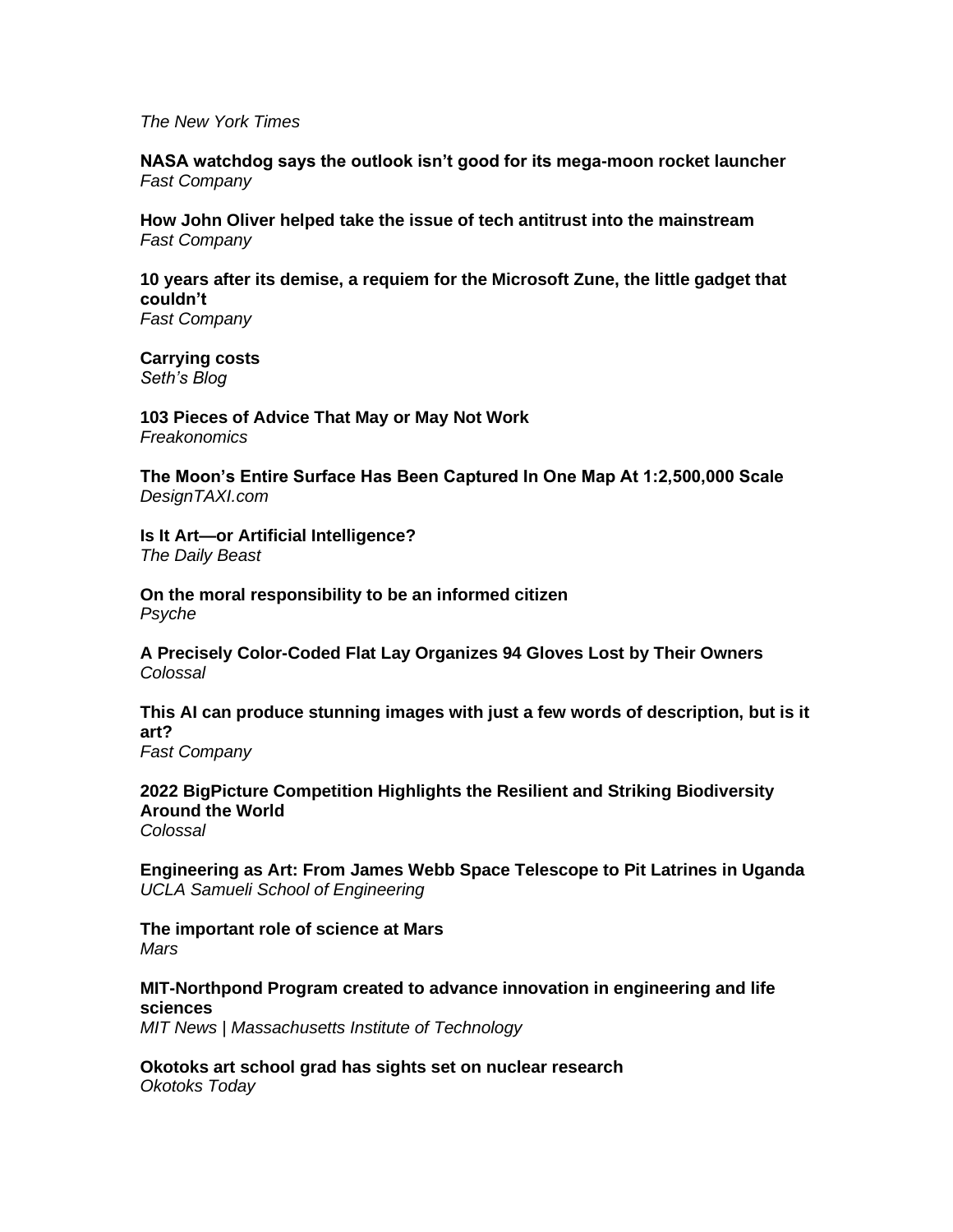*The New York Times*

**[NASA watchdog says the outlook isn't good for its mega-moon rocket launcher](https://www.fastcompany.com/90761162/nasa-watchdogs-says-the-mega-moon-rockets-outlook-doesnt-look-good)** *Fast Company*

**[How John Oliver helped take the issue of tech antitrust into the mainstream](https://www.fastcompany.com/90761546/how-jon-oliver-helped-take-the-issue-of-tech-antitrust-into-the-mainstream)** *Fast Company*

**[10 years after its demise, a requiem for the Microsoft Zune, the little gadget that](https://www.fastcompany.com/90761088/a-requiem-for-the-microsoft-zune-the-little-gadget-that-couldnt)  [couldn't](https://www.fastcompany.com/90761088/a-requiem-for-the-microsoft-zune-the-little-gadget-that-couldnt)** *Fast Company*

**[Carrying costs](https://seths.blog/2022/06/carrying-costs/)** *Seth's Blog*

**[103 Pieces of Advice That May or May Not Work](https://freakonomics.com/podcast/103-pieces-of-advice-that-may-or-may-not-work/)** *Freakonomics*

**[The Moon's Entire Surface Has Been Captured In One Map At 1:2,500,000 Scale](https://designtaxi.com/news/419061/The-Moon-s-Entire-Surface-Has-Been-Captured-In-One-Map-At-1-2-500-000-Scale/)** *DesignTAXI.com*

**[Is It Art—or Artificial Intelligence?](https://www.thedailybeast.com/is-it-artor-artificial-intelligence)** *The Daily Beast*

**[On the moral responsibility to be an informed citizen](https://psyche.co/ideas/on-the-moral-responsibility-to-be-an-informed-citizen)** *Psyche*

**A Precisely Color-Coded Flat [Lay Organizes 94 Gloves Lost by Their Owners](https://www.thisiscolossal.com/2022/06/jim-golden-gloves/)** *Colossal*

**[This AI can produce stunning images with just a few words of description, but is it](https://www.fastcompany.com/90760756/is-dall-e-2-creating-art)  [art?](https://www.fastcompany.com/90760756/is-dall-e-2-creating-art)**

*Fast Company* 

**[2022 BigPicture Competition Highlights the Resilient and Striking Biodiversity](https://www.thisiscolossal.com/2022/06/2022-big-picture-nature-photography/)  [Around the World](https://www.thisiscolossal.com/2022/06/2022-big-picture-nature-photography/)** *Colossal*

**[Engineering as Art: From James Webb Space Telescope to Pit Latrines in Uganda](https://samueli.ucla.edu/engineering-as-art-2/)** *UCLA Samueli School of Engineering*

**[The important role of science at Mars](https://www.mars.com/news-and-stories/articles/nici-bush-science-at-mars)**  *Mars*

**MIT-Northpond [Program created to advance innovation in engineering and life](https://news.mit.edu/2022/mit-northpond-program-created-advance-innovation-engineering-life-sciences-0615)  [sciences](https://news.mit.edu/2022/mit-northpond-program-created-advance-innovation-engineering-life-sciences-0615)**

*MIT News | Massachusetts Institute of Technology*

**[Okotoks art school grad has sights set on nuclear research](https://www.okotokstoday.ca/local-news/okotoks-art-school-grad-has-sights-set-on-nuclear-research-5470950)** *Okotoks Today*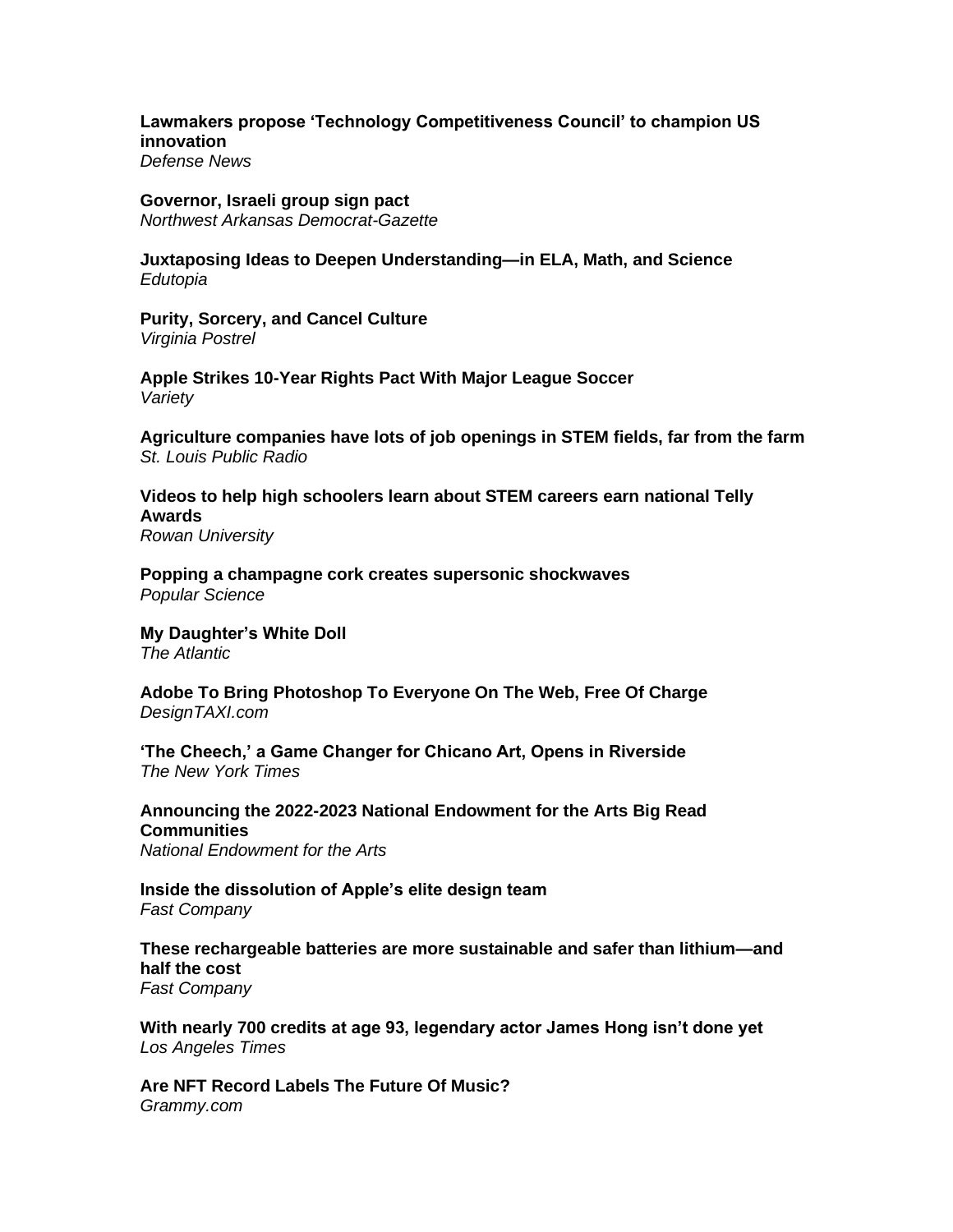**[Lawmakers propose 'Technology Competitiveness Council' to champion US](https://www.defensenews.com/battlefield-tech/2022/06/14/lawmakers-propose-technology-competitiveness-council-to-champion-us-innovation/)  [innovation](https://www.defensenews.com/battlefield-tech/2022/06/14/lawmakers-propose-technology-competitiveness-council-to-champion-us-innovation/)** *Defense News*

# **[Governor, Israeli group sign pact](https://www.nwaonline.com/news/2022/jun/15/governor-israeli-group-sign-pact/)**

*Northwest Arkansas Democrat-Gazette*

**[Juxtaposing Ideas to Deepen Understanding—in ELA, Math, and Science](https://www.edutopia.org/article/juxtaposing-ideas-deepen-understanding-ela-math-and-science)** *Edutopia*

**[Purity, Sorcery, and Cancel Culture](https://vpostrel.substack.com/p/purity-sorcery-and-cancel-culture)** *Virginia Postrel*

**[Apple Strikes 10-Year Rights Pact With Major League Soccer](https://variety.com/2022/tv/news/apple-major-league-soccer-rights-deal-1235293830/)** *Variety*

**[Agriculture companies have lots of job openings in STEM fields, far from the farm](https://news.stlpublicradio.org/economy-business/2022-06-13/agriculture-companies-have-lots-of-job-openings-in-stem-fields-far-from-the-farm)** *St. Louis Public Radio*

**[Videos to help high schoolers learn about STEM careers earn national Telly](https://today.rowan.edu/news/2022/06/stem-vrce-telly-awards.html)  [Awards](https://today.rowan.edu/news/2022/06/stem-vrce-telly-awards.html)**

*Rowan University*

**Popping [a champagne cork creates supersonic shockwaves](https://www.popsci.com/science/pop-champagne-physics/)** *Popular Science*

**[My Daughter's White Doll](https://www.theatlantic.com/magazine/archive/2022/07/doll-test-history-racial-segregation-toy-diversity/638442/)** *The Atlantic*

**[Adobe To Bring Photoshop To Everyone On The Web, Free Of Charge](https://designtaxi.com/news/419065/Adobe-To-Bring-Photoshop-To-Everyone-On-The-Web-Free-Of-Charge/)** *DesignTAXI.com*

**['The Cheech,' a Game Changer for Chicano Art, Opens in Riverside](https://www.nytimes.com/2022/06/14/arts/design/cheech-marin-chicano-art-riverside.html)** *The New York Times* 

**[Announcing the 2022-2023 National Endowment for the Arts Big Read](https://www.arts.gov/news/press-releases/2022/2022-2023-nea-big-read-communities)  [Communities](https://www.arts.gov/news/press-releases/2022/2022-2023-nea-big-read-communities)**

*National Endowment for the Arts*

**[Inside the dissolution of Apple's elite design team](https://www.fastcompany.com/90741719/inside-the-dissolution-of-apples-elite-design-team)** *Fast Company*

**[These rechargeable batteries are more sustainable and safer than lithium—and](https://www.fastcompany.com/90761039/these-rechargeable-batteries-are-more-sustainable-and-safer-than-lithium-and-half-the-cost)  [half the cost](https://www.fastcompany.com/90761039/these-rechargeable-batteries-are-more-sustainable-and-safer-than-lithium-and-half-the-cost)** *Fast Company*

**[With nearly 700 credits at age 93, legendary actor James Hong isn't done yet](https://www.latimes.com/entertainment-arts/movies/story/2022-06-14/james-hong-career-everything-everywhere)** *Los Angeles Times*

**[Are NFT Record Labels The Future Of Music?](https://www.grammy.com/news/are-nft-record-labels-the-future-of-music-web3)** *Grammy.com*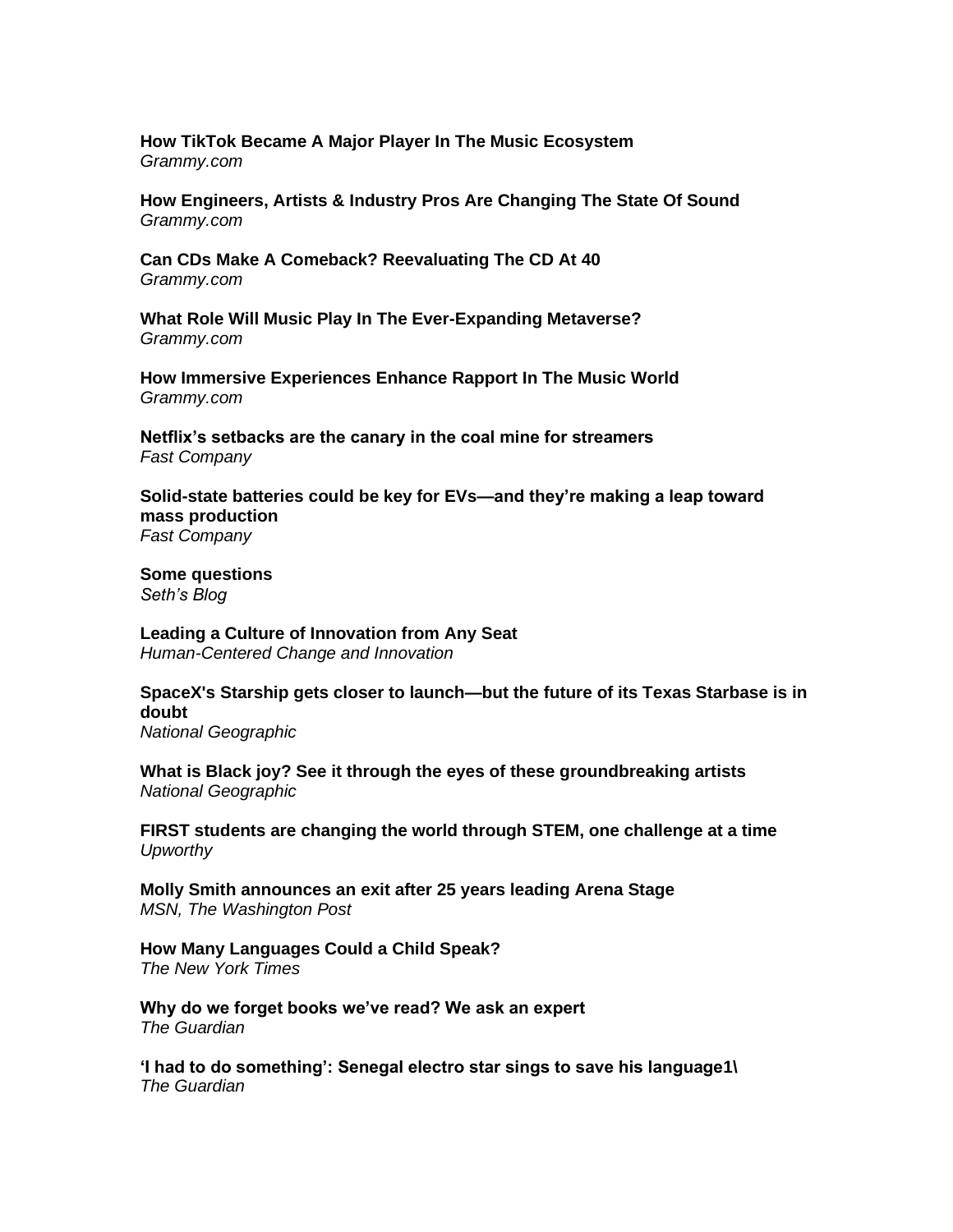**[How TikTok Became A Major Player In The Music Ecosystem](https://www.grammy.com/news/how-tiktok-became-a-major-player-music-industry-sounds-old-artists)** *Grammy.com*

**[How Engineers, Artists & Industry Pros Are Changing The State Of Sound](https://www.grammy.com/news/what-is-immersive-audio-industry-explainer-dolby-atmos)** *Grammy.com*

**[Can CDs Make A Comeback? Reevaluating The CD At 40](https://www.grammy.com/news/the-cd-turns-40-can-cd-sales-make-a-comeback)** *Grammy.com*

**[What Role Will Music Play In The Ever-Expanding Metaverse?](https://www.grammy.com/news/music-and-the-metaverse-nft-vr-ar-ai-virtual-reality-foo-fighters-travis-scott-amazevr-pixelynx)** *Grammy.com*

**[How Immersive Experiences Enhance Rapport In The Music World](https://www.recordingacademy.com/grammys/news/are-immersive-experiences-the-future-pop-up-shops-virtual-reality-covid-pandemic)** *Grammy.com*

**[Netflix's setbacks are the canary in the coal mine for streamers](https://www.fastcompany.com/90757800/netflixs-setbacks-are-the-canary-in-the-coal-mine-for-streamers)** *Fast Company*

**[Solid-state batteries could be key for EVs—and they're making a leap toward](https://www.fastcompany.com/90760232/solid-state-batteries-could-be-key-for-evs-and-theyre-making-a-leap-toward-mass-production)  [mass production](https://www.fastcompany.com/90760232/solid-state-batteries-could-be-key-for-evs-and-theyre-making-a-leap-toward-mass-production)** *Fast Company*

**[Some questions](https://seths.blog/2022/06/some-questions/)** *Seth's Blog* 

**[Leading a Culture of Innovation from Any Seat](https://bradenkelley.com/2022/06/leading-a-culture-of-innovation-from-any-seat/)** *Human-Centered Change and Innovation*

**[SpaceX's Starship gets closer to launch—but the future of its Texas Starbase is in](https://www.nationalgeographic.com/science/article/spacex-starship-gets-closer-to-launchbut-the-future-of-its-texas-starbase-is-in-doubt)  [doubt](https://www.nationalgeographic.com/science/article/spacex-starship-gets-closer-to-launchbut-the-future-of-its-texas-starbase-is-in-doubt)**

*National Geographic*

**[What is Black joy? See it through the eyes of these groundbreaking artists](https://www.nationalgeographic.com/culture/article/what-is-black-joy-see-it-through-artists-eyes)** *National Geographic*

**FIRST [students are changing the world through STEM, one challenge at a time](https://www.upworthy.com/first-students-are-changing-the-world-through-stem-one-challenge-at-a-time)** *Upworthy*

**[Molly Smith announces an exit after 25 years leading Arena Stage](https://www.msn.com/en-us/news/us/molly-smith-announces-an-exit-after-25-years-leading-arena-stage/ar-AAYj4HR)** *MSN, The Washington Post*

**[How Many Languages Could a Child Speak?](https://www.nytimes.com/2022/06/14/science/children-languages-randall-munroe.html)** *The New York Times*

**[Why do we forget books we've read? We ask an expert](https://www.theguardian.com/lifeandstyle/2022/jun/10/why-do-we-forget-books-weve-read-we-ask-an-expert)** *The Guardian*

**['I had to do something': Senegal electro star sings to save his language1](https://www.theguardian.com/global-development/2022/jun/13/i-had-to-do-something-senegal-electro-star-sings-to-save-his-language)\** *The Guardian*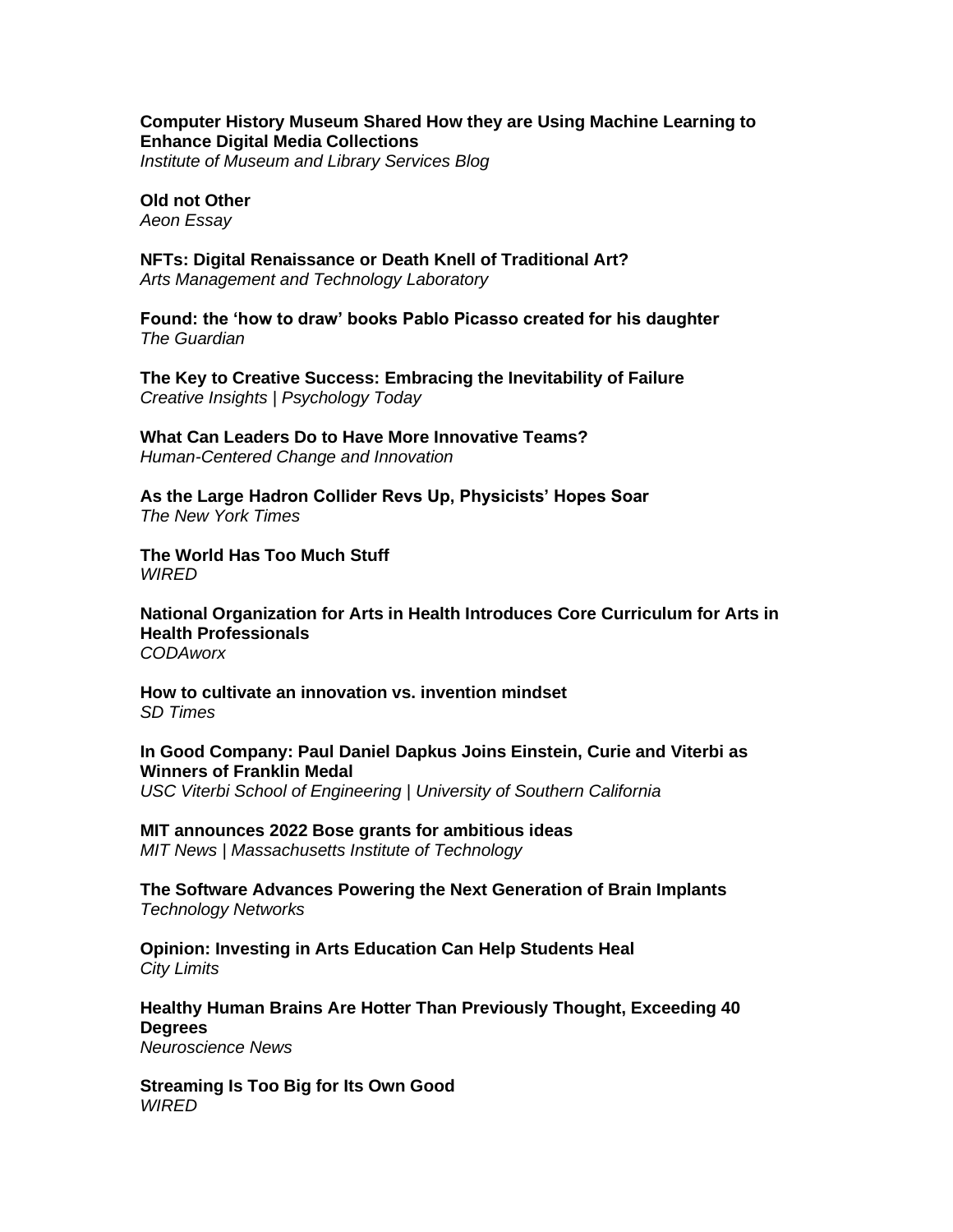### **[Computer History Museum Shared How they are Using Machine Learning to](https://www.imls.gov/blog/2022/06/computer-history-museum-shared-how-they-are-using-machine-learning-enhance-digital)  [Enhance Digital Media Collections](https://www.imls.gov/blog/2022/06/computer-history-museum-shared-how-they-are-using-machine-learning-enhance-digital)**

*Institute of Museum and Library Services Blog*

**[Old not Other](https://aeon.co/essays/simone-de-beauvoir-on-facing-old-age-and-avoiding-bad-faith)** *Aeon Essay*

**[NFTs: Digital Renaissance or Death Knell of Traditional Art?](https://amt-lab.org/blog/2022/6/nfts-digital-renaissance-or-death-knell-of-traditional-art)** *Arts Management and Technology Laboratory*

**[Found: the 'how to draw' books Pablo Picasso created for his daughter](https://www.theguardian.com/artanddesign/2022/jun/11/found-the-how-to-draw-books-pablo-picasso-created-for-his-daughter)** *The Guardian*

**[The Key to Creative Success: Embracing the Inevitability of Failure](https://cdn.psychologytoday.com/us/blog/creative-insights/202206/the-key-creative-success-embracing-the-inevitability-failure)** *Creative Insights | Psychology Today*

**[What Can Leaders Do to Have More Innovative Teams?](https://bradenkelley.com/2022/06/what-can-leaders-do-to-have-more-innovative-teams/)** *Human-Centered Change and Innovation*

**As the Large [Hadron Collider Revs Up, Physicists' Hopes Soar](https://www.nytimes.com/2022/06/13/science/cern-hadron-collider-muon-leptoquark.html)** *The New York Times*

**[The World Has Too Much Stuff](https://www.wired.com/story/the-world-has-too-much-stuff/)** *WIRED*

**[National Organization for Arts in Health Introduces Core Curriculum for Arts in](https://www.codaworx.com/long-article/?magazine=art-and-wellness&post=experiential-art-shines-at-codasummit-experience-2&utm_campaign=CODAweekly&utm_medium=email&_hsmi=216454682&_hsenc=p2ANqtz-_VWK-xh7OSi0zvcDtqX0n4-4SbkhqrmqwYWF-TBIuOh8Uwtiw8q-nJCmTTZTTBTd9-dDcqOSN0QDFcl_4_VbpKsgVmAn-di5zBe47Sqfvz4ED0_Do&utm_content=216454682&utm_source=hs_email)  [Health Professionals](https://www.codaworx.com/long-article/?magazine=art-and-wellness&post=experiential-art-shines-at-codasummit-experience-2&utm_campaign=CODAweekly&utm_medium=email&_hsmi=216454682&_hsenc=p2ANqtz-_VWK-xh7OSi0zvcDtqX0n4-4SbkhqrmqwYWF-TBIuOh8Uwtiw8q-nJCmTTZTTBTd9-dDcqOSN0QDFcl_4_VbpKsgVmAn-di5zBe47Sqfvz4ED0_Do&utm_content=216454682&utm_source=hs_email)** *CODAworx*

**[How to cultivate an innovation vs. invention mindset](https://sdtimes.com/softwaredev/how-to-cultivate-an-innovation-vs-invention-mindset/)** *SD Times*

**[In Good Company: Paul Daniel Dapkus Joins Einstein, Curie and Viterbi as](https://viterbischool.usc.edu/news/2022/06/in-good-company-paul-daniel-dapkus-joins-einstein-curie-and-viterbi-as-winners-of-franklin-medal/)  [Winners of Franklin Medal](https://viterbischool.usc.edu/news/2022/06/in-good-company-paul-daniel-dapkus-joins-einstein-curie-and-viterbi-as-winners-of-franklin-medal/)**

*USC Viterbi School of Engineering | University of Southern California*

**[MIT announces 2022 Bose grants for ambitious ideas](https://www.technologynetworks.com/tn/blog/the-software-advances-powering-the-next-generation-of-brain-implants-362551)** *MIT News | Massachusetts Institute of Technology*

**[The Software Advances Powering the Next Generation of Brain Implants](https://www.technologynetworks.com/tn/blog/the-software-advances-powering-the-next-generation-of-brain-implants-362551)** *Technology Networks*

**[Opinion: Investing in Arts Education Can Help Students Heal](https://citylimits.org/2022/06/13/opinion-investing-in-arts-education-can-help-students-heal/)** *City Limits*

**[Healthy Human Brains Are Hotter Than Previously Thought, Exceeding 40](https://neurosciencenews.com/brain-termperature-20816/)  [Degrees](https://neurosciencenews.com/brain-termperature-20816/)**

*Neuroscience News*

**[Streaming Is Too Big for Its Own Good](https://www.wired.com/story/streaming-too-big/)** *WIRED*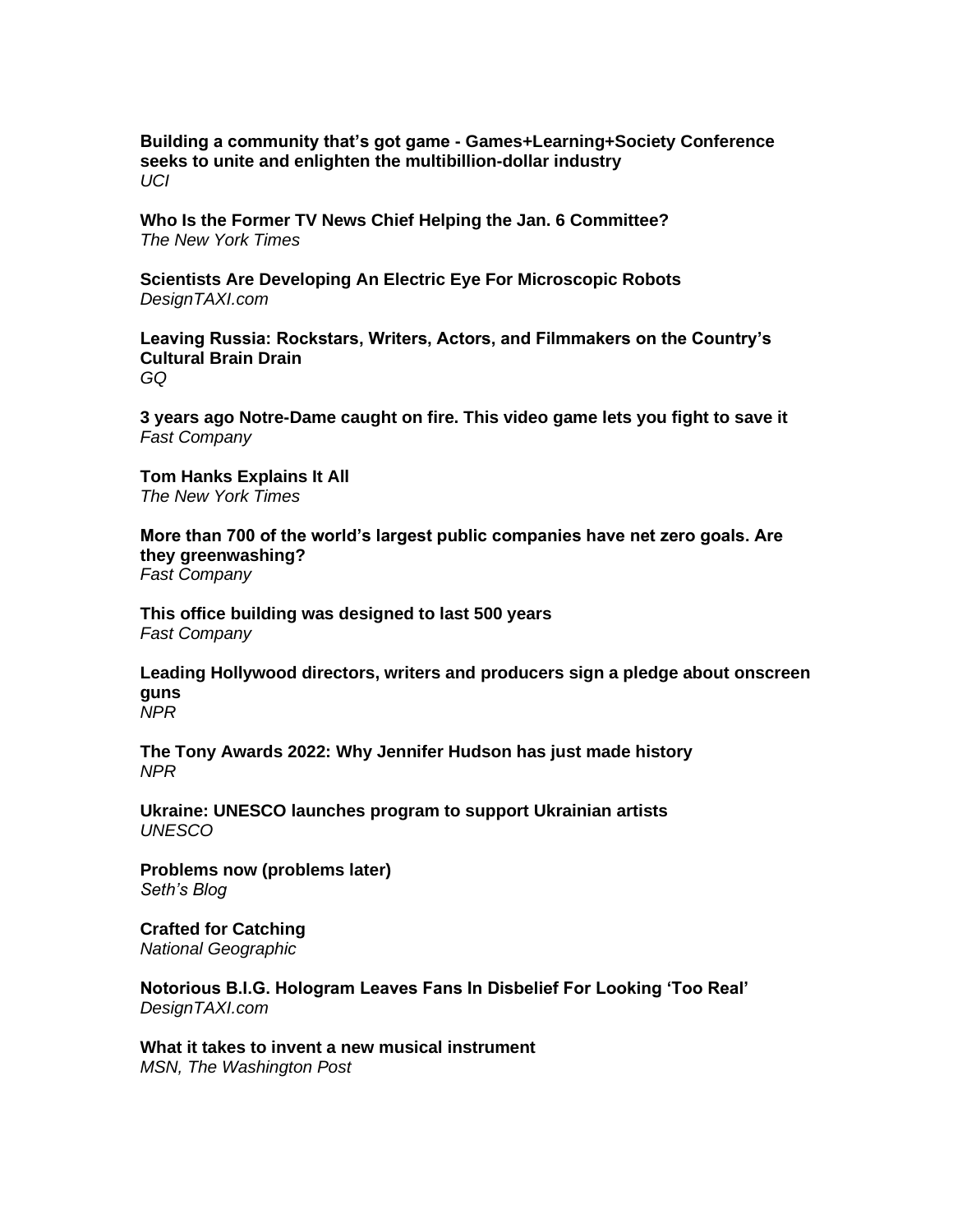**[Building a community that's got game -](https://news.uci.edu/2022/06/10/building-a-community-thats-got-game/) Games+Learning+Society Conference [seeks to unite and enlighten the multibillion-dollar industry](https://news.uci.edu/2022/06/10/building-a-community-thats-got-game/)** *UCI*

**[Who Is the Former TV News Chief Helping the Jan. 6 Committee?](https://www.nytimes.com/2022/06/13/business/media/james-goldston-january-6-committee.html)** *The New York Times*

**[Scientists Are Developing An Electric Eye For Microscopic Robots](https://designtaxi.com/news/419033/Scientists-Are-Developing-An-Electric-Eye-For-Microscopic-Robots/)** *DesignTAXI.com*

**[Leaving Russia: Rockstars, Writers, Actors, and Filmmakers on the Country's](https://www.gq.com/story/russia-cultural-brain-drain)  [Cultural Brain Drain](https://www.gq.com/story/russia-cultural-brain-drain)** *GQ*

**[3 years ago Notre-Dame caught on fire. This video game lets you fight to save it](https://www.fastcompany.com/90759153/3-years-ago-notre-dame-caught-on-fire-this-video-game-lets-you-fight-to-save-it)** *Fast Company*

**[Tom Hanks Explains It All](https://www.nytimes.com/interactive/2022/06/13/magazine/tom-hanks-interview.html)** *The New York Times*

**[More than 700 of the world's largest public companies have net zero goals. Are](https://www.fastcompany.com/90760683/more-than-700-of-the-worlds-largest-public-companies-have-net-zero-goals-are-they-greenwashing)  [they greenwashing?](https://www.fastcompany.com/90760683/more-than-700-of-the-worlds-largest-public-companies-have-net-zero-goals-are-they-greenwashing)** *Fast Company*

**[This office building was designed to last 500 years](https://www.fastcompany.com/90760680/this-office-building-was-designed-to-last-500-years)** *Fast Company*

**[Leading Hollywood directors, writers and producers sign a pledge about onscreen](https://www.npr.org/2022/06/13/1104594849/hollywood-pledge-onscreen-guns)  [guns](https://www.npr.org/2022/06/13/1104594849/hollywood-pledge-onscreen-guns)** *NPR*

**[The Tony Awards 2022: Why Jennifer Hudson has just made history](https://www.npr.org/2022/06/12/1104215329/tony-awards-2022-jennifer-hudson)** *NPR*

**[Ukraine: UNESCO launches program to support Ukrainian artists](https://www.unesco.org/en/articles/ukraine-unesco-launches-program-support-ukrainian-artists)** *UNESCO*

**[Problems now \(problems later\)](https://seths.blog/2022/06/problems-now-problems-later/)** *Seth's Blog*

**[Crafted for Catching](https://www.nationalgeographic.com/history/graphics/see-the-tools-used-to-make-baseball-gloves-by-hand)** *National Geographic*

**[Notorious B.I.G. Hologram Leaves Fans In Disbelief For Looking 'Too Real'](https://designtaxi.com/news/419030/Notorious-B-I-G-Hologram-Leaves-Fans-In-Disbelief-For-Looking-Too-Real/)** *DesignTAXI.com*

**[What it takes to invent a new musical instrument](https://www.msn.com/en-us/entertainment/news/what-it-takes-to-invent-a-new-musical-instrument/ar-AAYaORi)** *MSN, The Washington Post*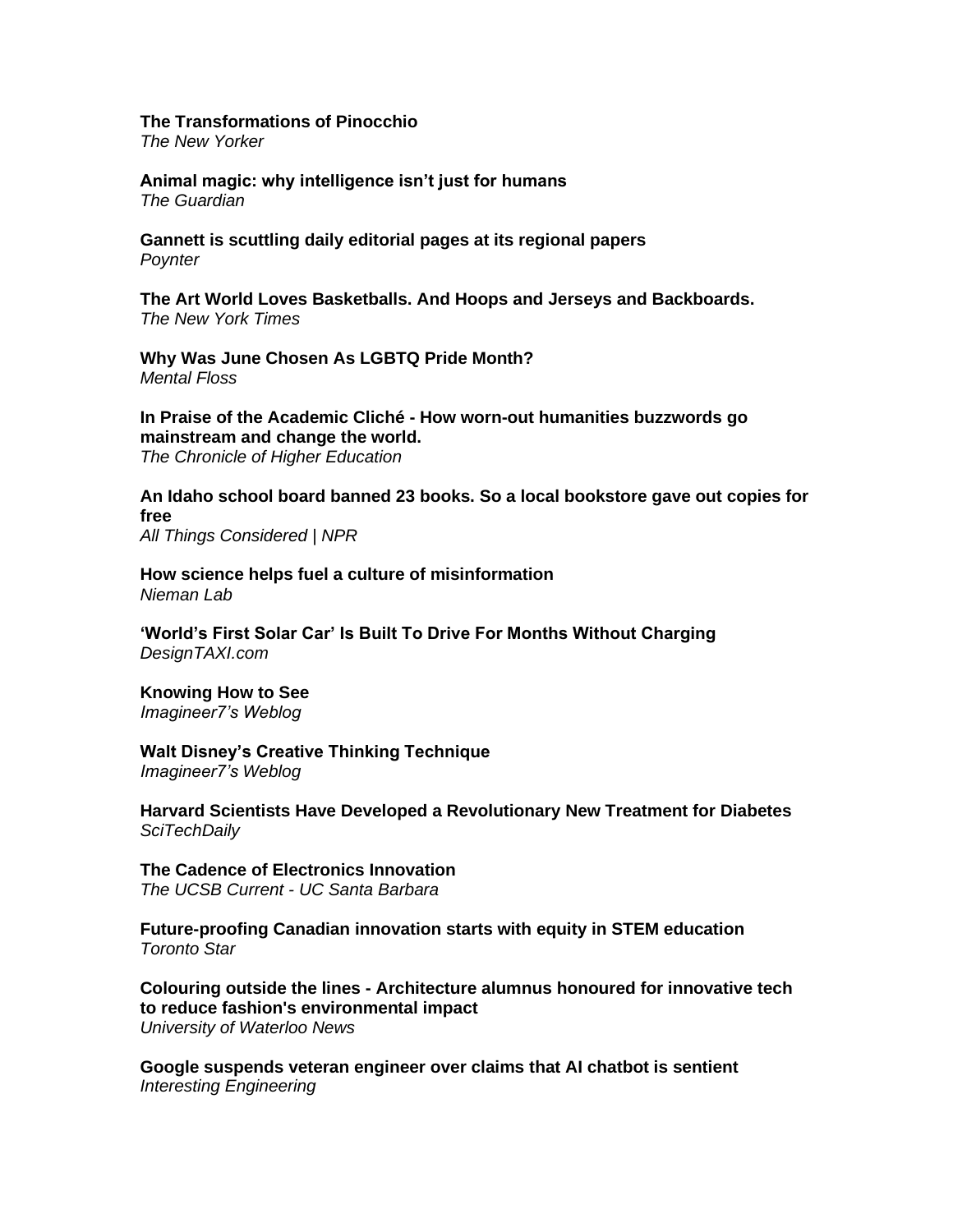### **[The Transformations of Pinocchio](https://www.newyorker.com/magazine/2022/06/13/the-transformations-of-pinocchio)**

*The New Yorker*

**[Animal magic: why intelligence isn't just for humans](https://www.theguardian.com/books/2022/jun/11/animal-magic-why-intelligence-isnt-just-for-humans)** *The Guardian*

**[Gannett is scuttling daily editorial pages at its regional papers](https://www.poynter.org/reporting-editing/2022/gannett-is-scuttling-daily-editorial-pages-at-its-regional-papers/)** *Poynter*

**[The Art World Loves Basketballs. And Hoops and Jerseys and Backboards.](https://www.nytimes.com/2022/06/12/sports/basketball/basketball-art.html)** *The New York Times*

**[Why Was June Chosen As LGBTQ Pride Month?](https://www.mentalfloss.com/article/647492/why-is-june-lgbtq-pride-month)** *Mental Floss*

**In Praise of the Academic Cliché - [How worn-out humanities buzzwords go](https://www.chronicle.com/article/in-praise-of-the-academic-cliche)  [mainstream and change the world.](https://www.chronicle.com/article/in-praise-of-the-academic-cliche)** *The Chronicle of Higher Education*

**[An Idaho school board banned 23 books. So a local bookstore gave out copies for](https://www.npr.org/2022/06/09/1104000189/an-idaho-school-board-banned-23-books-so-a-local-bookstore-gave-out-copies-for-f)  [free](https://www.npr.org/2022/06/09/1104000189/an-idaho-school-board-banned-23-books-so-a-local-bookstore-gave-out-copies-for-f)** *All Things Considered | NPR*

**[How science helps fuel a culture of misinformation](https://www.niemanlab.org/2022/06/how-science-helps-fuel-a-culture-of-misinformation/)** *Nieman Lab*

**['World's First Solar Car' Is Built To Drive For Months Without Charging](https://designtaxi.com/news/419018/World-s-First-Solar-Car-Is-Built-To-Drive-For-Months-Without-Charging/)** *DesignTAXI.com*

**[Knowing How to See](https://imagine-er7.com/2022/06/11/knowing-how-to-see/)** *Imagineer7's Weblog*

**[Walt Disney's Creative Thinking Technique](https://imagine-er7.com/2022/06/13/walt-disneys-creative-thinking-technique/)** *Imagineer7's Weblog*

**[Harvard Scientists Have Developed a Revolutionary New Treatment for Diabetes](https://scitechdaily.com/harvard-scientists-have-developed-a-revolutionary-new-treatment-for-diabetes/)** *SciTechDaily*

**[The Cadence of Electronics Innovation](https://www.news.ucsb.edu/2022/020660/cadence-electronics-innovation)** *The UCSB Current - UC Santa Barbara*

**[Future-proofing Canadian innovation starts with equity in STEM education](https://www.thestar.com/business/2022/06/11/future-proofing-canadian-innovation-starts-with-equity-in-stem-education.html)** *Toronto Star*

**Colouring outside the lines - Architecture [alumnus honoured for innovative tech](https://uwaterloo.ca/news/engineering-alumni/colouring-outside-lines)  [to reduce fashion's environmental impact](https://uwaterloo.ca/news/engineering-alumni/colouring-outside-lines)** *University of Waterloo News*

**[Google suspends veteran engineer over claims that AI chatbot is sentient](https://interestingengineering.com/google-suspends-engineer-claims-ai-sentient)** *Interesting Engineering*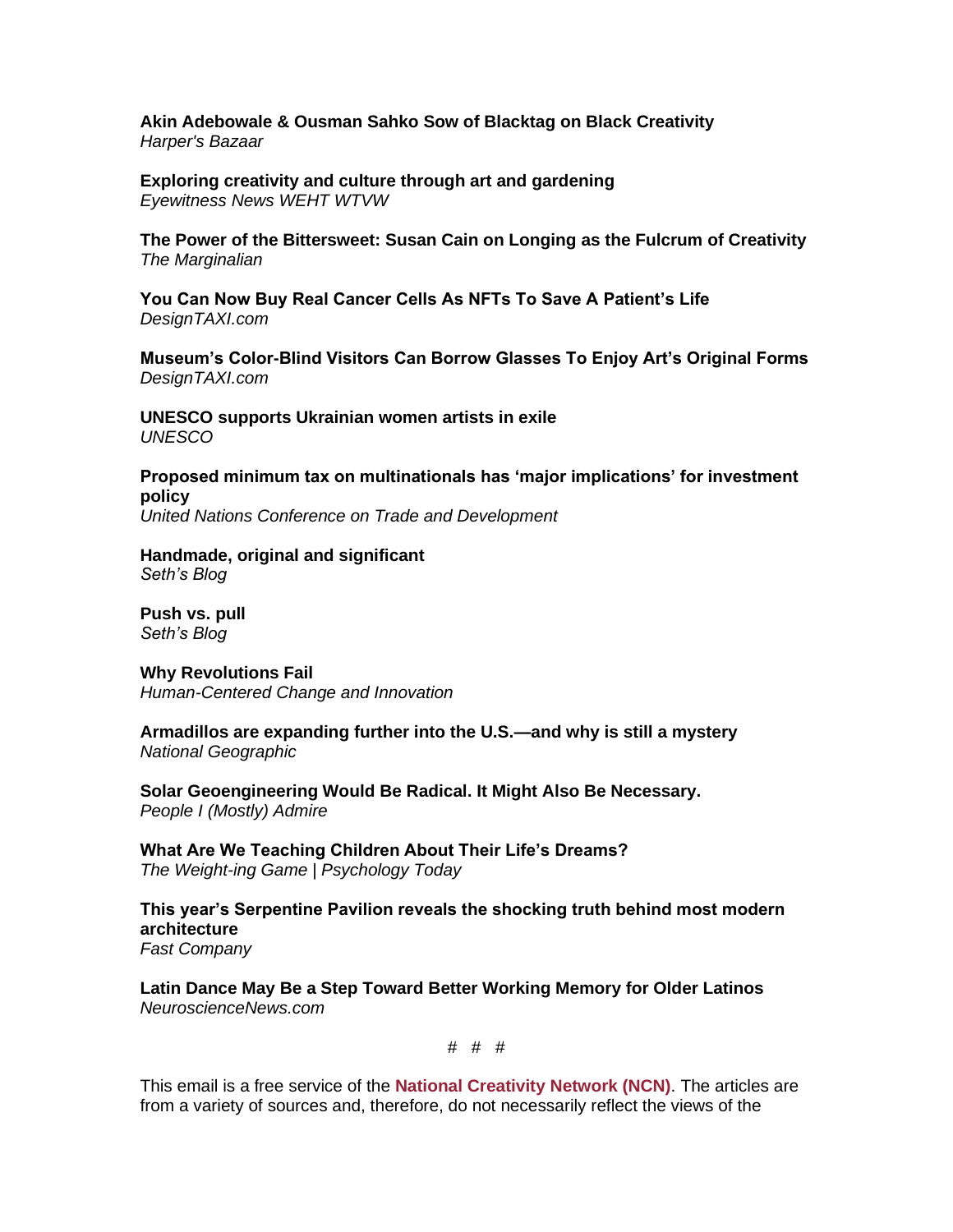**[Akin Adebowale & Ousman Sahko Sow of Blacktag on Black Creativity](https://www.harpersbazaar.com/culture/a40082906/blacktag-akin-adebowale-ousman-sahko-sow-black-creativity/)** *Harper's Bazaar* 

**[Exploring creativity and culture through art and gardening](https://youtu.be/fOjcjs7dfls)** *Eyewitness News WEHT WTVW*

**[The Power of the Bittersweet: Susan Cain on Longing as the Fulcrum of Creativity](https://www.themarginalian.org/2022/06/05/susan-cain-bittersweet/)** *The Marginalian*

**[You Can Now Buy Real Cancer Cells As NFTs To Save A Patient's Life](https://designtaxi.com/news/418996/You-Can-Now-Buy-Real-Cancer-Cells-As-NFTs-To-Save-A-Patient-s-Life/)** *DesignTAXI.com*

**[Museum's Color-Blind Visitors Can Borrow Glasses To Enjoy Art's Original Forms](https://designtaxi.com/news/418943/Museum-s-Color-Blind-Visitors-Can-Borrow-Glasses-To-Enjoy-Art-s-Original-Forms/)** *DesignTAXI.com*

**[UNESCO supports Ukrainian women artists in exile](https://www.unesco.org/en/articles/unesco-supports-ukrainian-women-artists-exile)** *UNESCO*

**[Proposed minimum tax on multinationals has 'major implications' for investment](https://unctad.org/news/proposed-minimum-tax-multinationals-has-major-implications-investment-policy)  [policy](https://unctad.org/news/proposed-minimum-tax-multinationals-has-major-implications-investment-policy)** *United Nations Conference on Trade and Development*

**[Handmade, original and significant](https://seths.blog/2022/06/handmade-original-and-significant/)** *Seth's Blog*

**[Push vs. pull](https://seths.blog/2022/06/push-vs-pull/)** *Seth's Blog*

**[Why Revolutions Fail](https://bradenkelley.com/2022/06/why-revolutions-fail/)** *Human-Centered Change and Innovation*

**[Armadillos are expanding further into the U.S.—and why is still a mystery](https://www.nationalgeographic.com/animals/article/armadillos-are-expanding-their-us-range-why-is-still-a-mystery)** *National Geographic*

**[Solar Geoengineering Would Be Radical. It Might Also Be Necessary.](https://freakonomics.com/podcast/solar-geoengineering-would-be-radical-it-might-also-be-necessary/)** *People I (Mostly) Admire*

**[What Are We Teaching Children About Their Life's Dreams?](https://cdn.psychologytoday.com/us/blog/the-weight-ing-game/202206/what-are-we-teaching-children-about-their-life-s-dreams)** *The Weight-ing Game | Psychology Today*

**[This year's Serpentine Pavilion reveals the shocking truth behind most modern](https://www.fastcompany.com/90759440/this-years-serpentine-pavilion-reveals-the-shocking-truth-behind-most-modern-architecture)  [architecture](https://www.fastcompany.com/90759440/this-years-serpentine-pavilion-reveals-the-shocking-truth-behind-most-modern-architecture)** *Fast Company*

**[Latin Dance May Be a Step Toward Better Working Memory for Older Latinos](https://neurosciencenews.com/latin-dance-workind-memory-20804/)** *NeuroscienceNews.com*

# # #

This email is a free service of the **National Creativity Network (NCN)**. The articles are from a variety of sources and, therefore, do not necessarily reflect the views of the